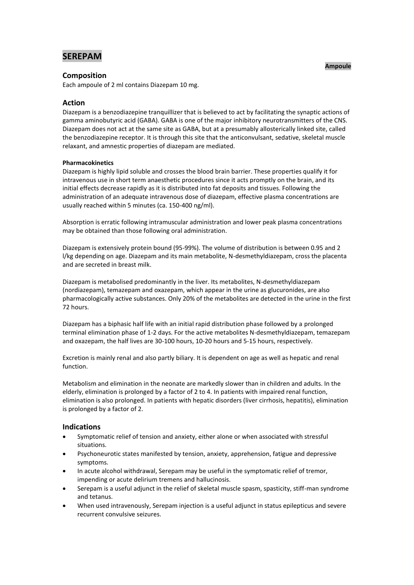# **SEREPAM**

# **Composition**

Each ampoule of 2 ml contains Diazepam 10 mg.

# **Action**

Diazepam is a benzodiazepine tranquillizer that is believed to act by facilitating the synaptic actions of gamma aminobutyric acid (GABA). GABA is one of the major inhibitory neurotransmitters of the CNS. Diazepam does not act at the same site as GABA, but at a presumably allosterically linked site, called the benzodiazepine receptor. It is through this site that the anticonvulsant, sedative, skeletal muscle relaxant, and amnestic properties of diazepam are mediated.

# **Pharmacokinetics**

Diazepam is highly lipid soluble and crosses the blood brain barrier. These properties qualify it for intravenous use in short term anaesthetic procedures since it acts promptly on the brain, and its initial effects decrease rapidly as it is distributed into fat deposits and tissues. Following the administration of an adequate intravenous dose of diazepam, effective plasma concentrations are usually reached within 5 minutes (ca. 150-400 ng/ml).

Absorption is erratic following intramuscular administration and lower peak plasma concentrations may be obtained than those following oral administration.

Diazepam is extensively protein bound (95-99%). The volume of distribution is between 0.95 and 2 l/kg depending on age. Diazepam and its main metabolite, N-desmethyldiazepam, cross the placenta and are secreted in breast milk.

Diazepam is metabolised predominantly in the liver. Its metabolites, N-desmethyldiazepam (nordiazepam), temazepam and oxazepam, which appear in the urine as glucuronides, are also pharmacologically active substances. Only 20% of the metabolites are detected in the urine in the first 72 hours.

Diazepam has a biphasic half life with an initial rapid distribution phase followed by a prolonged terminal elimination phase of 1-2 days. For the active metabolites N-desmethyldiazepam, temazepam and oxazepam, the half lives are 30-100 hours, 10-20 hours and 5-15 hours, respectively.

Excretion is mainly renal and also partly biliary. It is dependent on age as well as hepatic and renal function.

Metabolism and elimination in the neonate are markedly slower than in children and adults. In the elderly, elimination is prolonged by a factor of 2 to 4. In patients with impaired renal function, elimination is also prolonged. In patients with hepatic disorders (liver cirrhosis, hepatitis), elimination is prolonged by a factor of 2.

# **Indications**

- Symptomatic relief of tension and anxiety, either alone or when associated with stressful situations.
- Psychoneurotic states manifested by tension, anxiety, apprehension, fatigue and depressive symptoms.
- In acute alcohol withdrawal, Serepam may be useful in the symptomatic relief of tremor, impending or acute delirium tremens and hallucinosis.
- Serepam is a useful adjunct in the relief of skeletal muscle spasm, spasticity, stiff-man syndrome and tetanus.
- When used intravenously, Serepam injection is a useful adjunct in status epilepticus and severe recurrent convulsive seizures.

#### **Ampoule**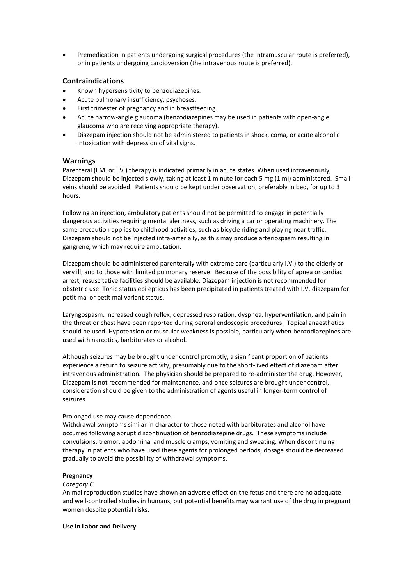Premedication in patients undergoing surgical procedures (the intramuscular route is preferred), or in patients undergoing cardioversion (the intravenous route is preferred).

# **Contraindications**

- Known hypersensitivity to benzodiazepines.
- Acute pulmonary insufficiency, psychoses.
- First trimester of pregnancy and in breastfeeding.
- Acute narrow-angle glaucoma (benzodiazepines may be used in patients with open-angle glaucoma who are receiving appropriate therapy).
- Diazepam injection should not be administered to patients in shock, coma, or acute alcoholic intoxication with depression of vital signs.

# **Warnings**

Parenteral (I.M. or I.V.) therapy is indicated primarily in acute states. When used intravenously, Diazepam should be injected slowly, taking at least 1 minute for each 5 mg (1 ml) administered. Small veins should be avoided. Patients should be kept under observation, preferably in bed, for up to 3 hours.

Following an injection, ambulatory patients should not be permitted to engage in potentially dangerous activities requiring mental alertness, such as driving a car or operating machinery. The same precaution applies to childhood activities, such as bicycle riding and playing near traffic. Diazepam should not be injected intra-arterially, as this may produce arteriospasm resulting in gangrene, which may require amputation.

Diazepam should be administered parenterally with extreme care (particularly I.V.) to the elderly or very ill, and to those with limited pulmonary reserve. Because of the possibility of apnea or cardiac arrest, resuscitative facilities should be available. Diazepam injection is not recommended for obstetric use. Tonic status epilepticus has been precipitated in patients treated with I.V. diazepam for petit mal or petit mal variant status.

Laryngospasm, increased cough reflex, depressed respiration, dyspnea, hyperventilation, and pain in the throat or chest have been reported during peroral endoscopic procedures. Topical anaesthetics should be used. Hypotension or muscular weakness is possible, particularly when benzodiazepines are used with narcotics, barbiturates or alcohol.

Although seizures may be brought under control promptly, a significant proportion of patients experience a return to seizure activity, presumably due to the short-lived effect of diazepam after intravenous administration. The physician should be prepared to re-administer the drug. However, Diazepam is not recommended for maintenance, and once seizures are brought under control, consideration should be given to the administration of agents useful in longer-term control of seizures.

# Prolonged use may cause dependence.

Withdrawal symptoms similar in character to those noted with barbiturates and alcohol have occurred following abrupt discontinuation of benzodiazepine drugs. These symptoms include convulsions, tremor, abdominal and muscle cramps, vomiting and sweating. When discontinuing therapy in patients who have used these agents for prolonged periods, dosage should be decreased gradually to avoid the possibility of withdrawal symptoms.

# **Pregnancy**

#### *Category C*

Animal reproduction studies have shown an adverse effect on the fetus and there are no adequate and well-controlled studies in humans, but potential benefits may warrant use of the drug in pregnant women despite potential risks.

#### **Use in Labor and Delivery**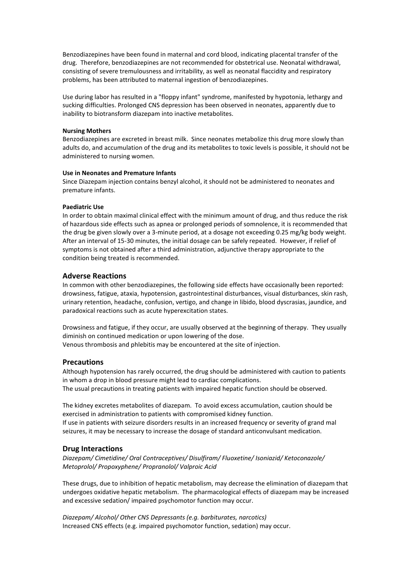Benzodiazepines have been found in maternal and cord blood, indicating placental transfer of the drug. Therefore, benzodiazepines are not recommended for obstetrical use. Neonatal withdrawal, consisting of severe tremulousness and irritability, as well as neonatal flaccidity and respiratory problems, has been attributed to maternal ingestion of benzodiazepines.

Use during labor has resulted in a "floppy infant" syndrome, manifested by hypotonia, lethargy and sucking difficulties. Prolonged CNS depression has been observed in neonates, apparently due to inability to biotransform diazepam into inactive metabolites.

#### **Nursing Mothers**

Benzodiazepines are excreted in breast milk. Since neonates metabolize this drug more slowly than adults do, and accumulation of the drug and its metabolites to toxic levels is possible, it should not be administered to nursing women.

#### **Use in Neonates and Premature Infants**

Since Diazepam injection contains benzyl alcohol, it should not be administered to neonates and premature infants.

#### **Paediatric Use**

In order to obtain maximal clinical effect with the minimum amount of drug, and thus reduce the risk of hazardous side effects such as apnea or prolonged periods of somnolence, it is recommended that the drug be given slowly over a 3-minute period, at a dosage not exceeding 0.25 mg/kg body weight. After an interval of 15-30 minutes, the initial dosage can be safely repeated. However, if relief of symptoms is not obtained after a third administration, adjunctive therapy appropriate to the condition being treated is recommended.

### **Adverse Reactions**

In common with other benzodiazepines, the following side effects have occasionally been reported: drowsiness, fatigue, ataxia, hypotension, gastrointestinal disturbances, visual disturbances, skin rash, urinary retention, headache, confusion, vertigo, and change in libido, blood dyscrasias, jaundice, and paradoxical reactions such as acute hyperexcitation states.

Drowsiness and fatigue, if they occur, are usually observed at the beginning of therapy. They usually diminish on continued medication or upon lowering of the dose. Venous thrombosis and phlebitis may be encountered at the site of injection.

### **Precautions**

Although hypotension has rarely occurred, the drug should be administered with caution to patients in whom a drop in blood pressure might lead to cardiac complications. The usual precautions in treating patients with impaired hepatic function should be observed.

The kidney excretes metabolites of diazepam. To avoid excess accumulation, caution should be exercised in administration to patients with compromised kidney function. If use in patients with seizure disorders results in an increased frequency or severity of grand mal seizures, it may be necessary to increase the dosage of standard anticonvulsant medication.

# **Drug Interactions**

*Diazepam/ Cimetidine/ Oral Contraceptives/ Disulfiram/ Fluoxetine/ Isoniazid/ Ketoconazole/ Metoprolol/ Propoxyphene/ Propranolol/ Valproic Acid*

These drugs, due to inhibition of hepatic metabolism, may decrease the elimination of diazepam that undergoes oxidative hepatic metabolism. The pharmacological effects of diazepam may be increased and excessive sedation/ impaired psychomotor function may occur.

*Diazepam/ Alcohol/ Other CNS Depressants (e.g. barbiturates, narcotics)* Increased CNS effects (e.g. impaired psychomotor function, sedation) may occur.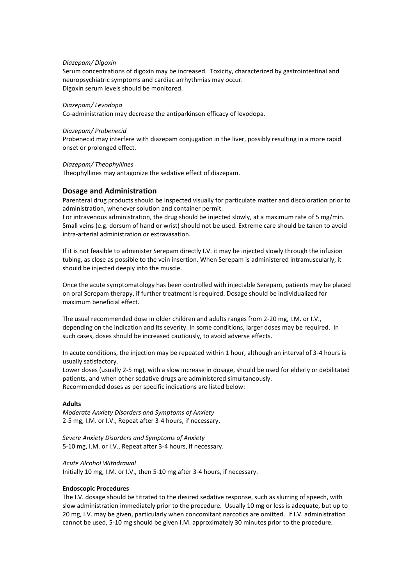#### *Diazepam/ Digoxin*

Serum concentrations of digoxin may be increased. Toxicity, characterized by gastrointestinal and neuropsychiatric symptoms and cardiac arrhythmias may occur. Digoxin serum levels should be monitored.

#### *Diazepam/ Levodopa*

Co-administration may decrease the antiparkinson efficacy of levodopa.

#### *Diazepam/ Probenecid*

Probenecid may interfere with diazepam conjugation in the liver, possibly resulting in a more rapid onset or prolonged effect.

### *Diazepam/ Theophyllines*

Theophyllines may antagonize the sedative effect of diazepam.

### **Dosage and Administration**

Parenteral drug products should be inspected visually for particulate matter and discoloration prior to administration, whenever solution and container permit.

For intravenous administration, the drug should be injected slowly, at a maximum rate of 5 mg/min. Small veins (e.g. dorsum of hand or wrist) should not be used. Extreme care should be taken to avoid intra-arterial administration or extravasation.

If it is not feasible to administer Serepam directly I.V. it may be injected slowly through the infusion tubing, as close as possible to the vein insertion. When Serepam is administered intramuscularly, it should be injected deeply into the muscle.

Once the acute symptomatology has been controlled with injectable Serepam, patients may be placed on oral Serepam therapy, if further treatment is required. Dosage should be individualized for maximum beneficial effect.

The usual recommended dose in older children and adults ranges from 2-20 mg, I.M. or I.V., depending on the indication and its severity. In some conditions, larger doses may be required. In such cases, doses should be increased cautiously, to avoid adverse effects.

In acute conditions, the injection may be repeated within 1 hour, although an interval of 3-4 hours is usually satisfactory.

Lower doses (usually 2-5 mg), with a slow increase in dosage, should be used for elderly or debilitated patients, and when other sedative drugs are administered simultaneously. Recommended doses as per specific indications are listed below:

#### **Adults**

*Moderate Anxiety Disorders and Symptoms of Anxiety* 2-5 mg, I.M. or I.V., Repeat after 3-4 hours, if necessary.

*Severe Anxiety Disorders and Symptoms of Anxiety* 5-10 mg, I.M. or I.V., Repeat after 3-4 hours, if necessary.

#### *Acute Alcohol Withdrawal*

Initially 10 mg, I.M. or I.V., then 5-10 mg after 3-4 hours, if necessary.

#### **Endoscopic Procedures**

The I.V. dosage should be titrated to the desired sedative response, such as slurring of speech, with slow administration immediately prior to the procedure. Usually 10 mg or less is adequate, but up to 20 mg, I.V. may be given, particularly when concomitant narcotics are omitted. If I.V. administration cannot be used, 5-10 mg should be given I.M. approximately 30 minutes prior to the procedure.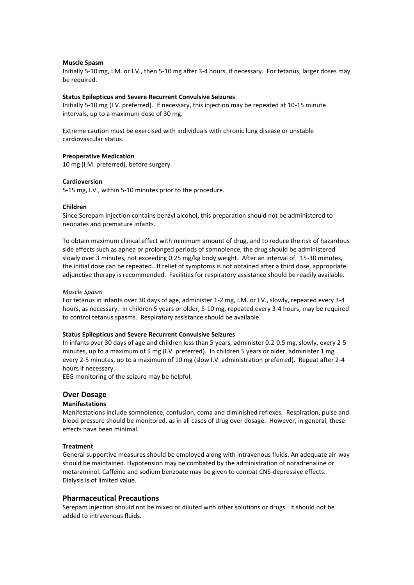#### **Muscle Spasm**

Initially 5-10 mg, I.M. or I.V., then 5-10 mg after 3-4 hours, if necessary. For tetanus, larger doses may be required.

#### **Status Epilepticus and Severe Recurrent Convulsive Seizures**

Initially 5-10 mg (I.V. preferred). If necessary, this injection may be repeated at 10-15 minute intervals, up to a maximum dose of 30 mg.

Extreme caution must be exercised with individuals with chronic lung disease or unstable cardiovascular status.

# **Preoperative Medication**

10 mg (I.M. preferred), before surgery.

### **Cardioversion**

5-15 mg, I.V., within 5-10 minutes prior to the procedure.

#### **Children**

Since Serepam injection contains benzyl alcohol, this preparation should not be administered to neonates and premature infants.

To obtain maximum clinical effect with minimum amount of drug, and to reduce the risk of hazardous side effects such as apnea or prolonged periods of somnolence, the drug should be administered slowly over 3 minutes, not exceeding 0.25 mg/kg body weight. After an interval of 15-30 minutes, the initial dose can be repeated. If relief of symptoms is not obtained after a third dose, appropriate adjunctive therapy is recommended. Facilities for respiratory assistance should be readily available.

#### *Muscle Spasm*

For tetanus in infants over 30 days of age, administer 1-2 mg, I.M. or I.V., slowly, repeated every 3-4 hours, as necessary. In children 5 years or older, 5-10 mg, repeated every 3-4 hours, may be required to control tetanus spasms. Respiratory assistance should be available.

#### **Status Epilepticus and Severe Recurrent Convulsive Seizures**

In infants over 30 days of age and children less than 5 years, administer 0.2-0.5 mg, slowly, every 2-5 minutes, up to a maximum of 5 mg (I.V. preferred). In children 5 years or older, administer 1 mg every 2-5 minutes, up to a maximum of 10 mg (slow I.V. administration preferred). Repeat after 2-4 hours if necessary.

EEG monitoring of the seizure may be helpful.

# **Over Dosage**

#### **Manifestations**

Manifestations include somnolence, confusion, coma and diminished reflexes. Respiration, pulse and blood pressure should be monitored, as in all cases of drug over dosage. However, in general, these effects have been minimal.

#### **Treatment**

General supportive measures should be employed along with intravenous fluids. An adequate air-way should be maintained. Hypotension may be combated by the administration of noradrenaline or metaraminol. Caffeine and sodium benzoate may be given to combat CNS-depressive effects. Dialysis is of limited value.

# **Pharmaceutical Precautions**

Serepam injection should not be mixed or diluted with other solutions or drugs. It should not be added to intravenous fluids.